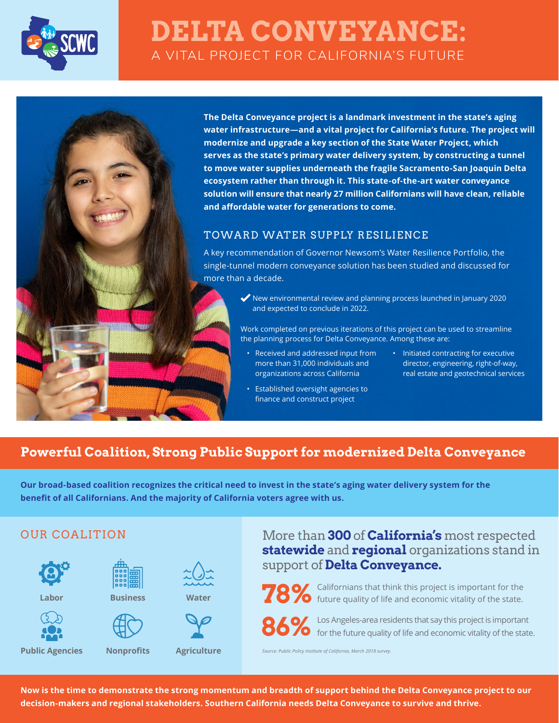

# **DELTA CONVEYANCE:** A VITAL PROJECT FOR CALIFORNIA'S FUTURE

**The Delta Conveyance project is a landmark investment in the state's aging water infrastructure—and a vital project for California's future. The project will modernize and upgrade a key section of the State Water Project, which serves as the state's primary water delivery system, by constructing a tunnel to move water supplies underneath the fragile Sacramento-San Joaquin Delta ecosystem rather than through it. This state-of-the-art water conveyance solution will ensure that nearly 27 million Californians will have clean, reliable and affordable water for generations to come.**

#### TOWARD WATER SUPPLY RESILIENCE

A key recommendation of Governor Newsom's Water Resilience Portfolio, the single-tunnel modern conveyance solution has been studied and discussed for more than a decade.

> New environmental review and planning process launched in January 2020 and expected to conclude in 2022.

Work completed on previous iterations of this project can be used to streamline the planning process for Delta Conveyance. Among these are:

- Received and addressed input from more than 31,000 individuals and organizations across California
- Initiated contracting for executive director, engineering, right-of-way, real estate and geotechnical services
- Established oversight agencies to finance and construct project

# **Powerful Coalition, Strong Public Support for modernized Delta Conveyance**

**Our broad-based coalition recognizes the critical need to invest in the state's aging water delivery system for the benefit of all Californians. And the majority of California voters agree with us.**

### OUR COALITION



**Labor**



**Public Agencies**



**Nonprofits**





**Agriculture**

# More than **300** of **California's** most respected **statewide** and **regional** organizations stand in support of **Delta Conveyance.**



**78%** Californians that think this project is important for the future quality of life and economic vitality of the state.

**86%** Los Angeles-area residents that say this project is important for the future quality of life and economic vitality of the state.

*Source: Public Policy Institute of California, March 2018 survey.*

**Now is the time to demonstrate the strong momentum and breadth of support behind the Delta Conveyance project to our decision-makers and regional stakeholders. Southern California needs Delta Conveyance to survive and thrive.**